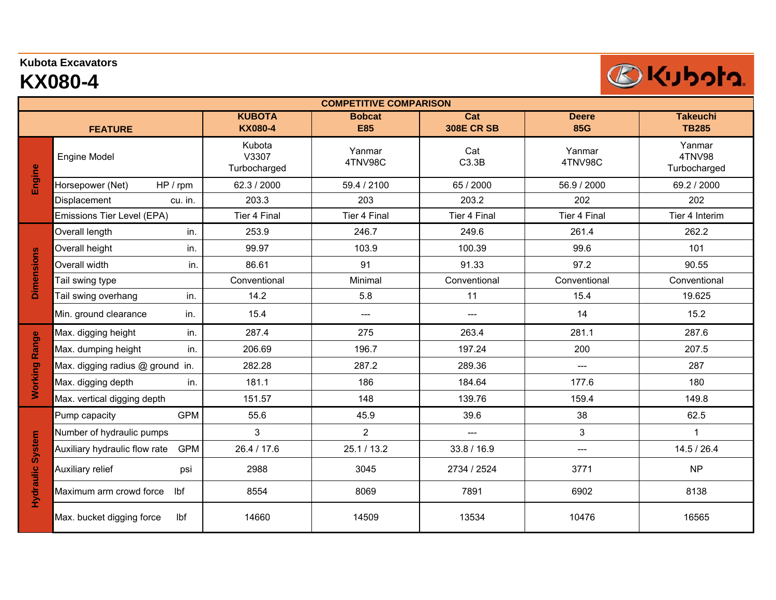## **Kubota Excavators**

## **KX080-4**

L

| <b>COMPETITIVE COMPARISON</b> |                                             |                                 |                             |                                              |                            |                                  |  |  |  |  |  |
|-------------------------------|---------------------------------------------|---------------------------------|-----------------------------|----------------------------------------------|----------------------------|----------------------------------|--|--|--|--|--|
|                               | <b>FEATURE</b>                              | <b>KUBOTA</b><br><b>KX080-4</b> | <b>Bobcat</b><br><b>E85</b> | $\overline{\text{Cat}}$<br><b>308E CR SB</b> | <b>Deere</b><br><b>85G</b> | <b>Takeuchi</b><br><b>TB285</b>  |  |  |  |  |  |
| Engine                        | <b>Engine Model</b>                         | Kubota<br>V3307<br>Turbocharged | Yanmar<br>4TNV98C           | Cat<br>C3.3B                                 | Yanmar<br>4TNV98C          | Yanmar<br>4TNV98<br>Turbocharged |  |  |  |  |  |
|                               | HP / rpm<br>Horsepower (Net)                | 62.3 / 2000                     | 59.4 / 2100                 | 65 / 2000                                    | 56.9 / 2000                | 69.2 / 2000                      |  |  |  |  |  |
|                               | Displacement<br>cu. in.                     | 203.3                           | 203                         | 203.2                                        | 202                        | 202                              |  |  |  |  |  |
|                               | Emissions Tier Level (EPA)                  | Tier 4 Final                    | Tier 4 Final                | Tier 4 Final                                 | Tier 4 Final               | Tier 4 Interim                   |  |  |  |  |  |
| <b>Dimensions</b>             | Overall length<br>in.                       | 253.9                           | 246.7                       | 249.6                                        | 261.4                      | 262.2                            |  |  |  |  |  |
|                               | Overall height<br>in.                       | 99.97                           | 103.9                       | 100.39                                       | 99.6                       | 101                              |  |  |  |  |  |
|                               | Overall width<br>in.                        | 86.61                           | 91                          | 91.33                                        | 97.2                       | 90.55                            |  |  |  |  |  |
|                               | Tail swing type                             | Conventional                    | Minimal                     | Conventional                                 | Conventional               | Conventional                     |  |  |  |  |  |
|                               | Tail swing overhang<br>in.                  | 14.2                            | 5.8                         | 11                                           | 15.4                       | 19.625                           |  |  |  |  |  |
|                               | Min. ground clearance<br>in.                | 15.4                            | ---                         | $---$                                        | 14                         | 15.2                             |  |  |  |  |  |
| Range<br><b>Working</b>       | Max. digging height<br>in.                  | 287.4                           | 275                         | 263.4                                        | 281.1                      | 287.6                            |  |  |  |  |  |
|                               | Max. dumping height<br>in.                  | 206.69                          | 196.7                       | 197.24                                       | 200                        | 207.5                            |  |  |  |  |  |
|                               | Max. digging radius @ ground in.            | 282.28                          | 287.2                       | 289.36                                       | $\overline{a}$             | 287                              |  |  |  |  |  |
|                               | Max. digging depth<br>in.                   | 181.1                           | 186                         | 184.64                                       | 177.6                      | 180                              |  |  |  |  |  |
|                               | Max. vertical digging depth                 | 151.57                          | 148                         | 139.76                                       | 159.4                      | 149.8                            |  |  |  |  |  |
| Hydraulic System              | <b>GPM</b><br>Pump capacity                 | 55.6                            | 45.9                        | 39.6                                         | 38                         | 62.5                             |  |  |  |  |  |
|                               | Number of hydraulic pumps                   | 3                               | $\overline{2}$              | $\overline{a}$                               | 3                          | $\mathbf 1$                      |  |  |  |  |  |
|                               | <b>GPM</b><br>Auxiliary hydraulic flow rate | 26.4 / 17.6                     | 25.1 / 13.2                 | 33.8 / 16.9                                  | $---$                      | 14.5 / 26.4                      |  |  |  |  |  |
|                               | Auxiliary relief<br>psi                     | 2988                            | 3045                        | 2734 / 2524                                  | 3771                       | <b>NP</b>                        |  |  |  |  |  |
|                               | lbf<br>Maximum arm crowd force              | 8554                            | 8069                        | 7891                                         | 6902                       | 8138                             |  |  |  |  |  |
|                               | Max. bucket digging force<br>Ibf            | 14660                           | 14509                       | 13534                                        | 10476                      | 16565                            |  |  |  |  |  |